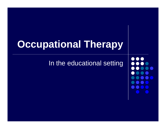# **Occupational Therapy**

In the educational setting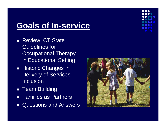# **Goals of In-service**

- Review CT State Guidelines for Occupational Therapy in Educational Setting
- **Historic Changes in** Delivery of Services-Inclusion
- Team Building
- Families as Partners
- Questions and Answers

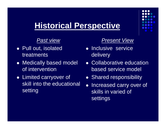## **Historical Perspective**

#### *Past view*

- Pull out, isolated treatments
- Medically based model of intervention
- Limited carryover of skill into the educational setting

#### *Present View*

- Inclusive service delivery
- Collaborative education based service model
- **Shared responsibility**
- Increased carry over of skills in varied of settings

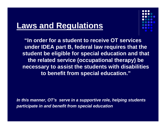## **Laws and Regulations**



**"In order for a student to receive OT services under IDEA part B, federal law requires that the student be eligible for special education and that the related service (occupational therapy) be necessary to assist the students with disabilities to benefit from special education."**

*In this manner, OT's serve in a supportive role, helping students participate in and benefit from special education*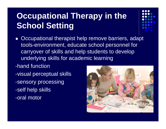# **Occupational Therapy in the School Setting**

- Occupational therapist help remove barriers, adapt tools-environment, educate school personnel for carryover of skills and help students to develop underlying skills for academic learning
- -hand function -visual perceptual skills -sensory processing -self help skills -oral motor

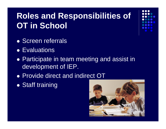# **Roles and Responsibilities of OT in School**

- Screen referrals
- Evaluations
- Participate in team meeting and assist in development of IEP.
- Provide direct and indirect OT
- $\bullet$ • Staff training

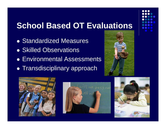## **School Based OT Evaluations**

- Standardized Measures
- **Skilled Observations**
- Environmental Assessments
- **Transdisciplinary approach**







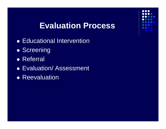#### **Evaluation Process**

- **Educational Intervention**
- $\bullet$ **• Screening**
- Referral
- Evaluation/ Assessment
- **Reevaluation**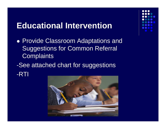#### **Educational Intervention**

- Provide Classroom Adaptations and Suggestions for Common Referral **Complaints**
- -See attached chart for suggestions -RTI

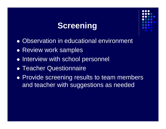## **Screening**



- $\bullet$ Observation in educational environment
- Review work samples
- Interview with school personnel
- **Teacher Questionnaire**
- Provide screening results to team members and teacher with suggestions as needed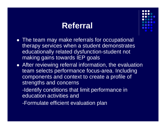## **Referral**



- The team may make referrals for occupational therapy services when a student demonstrates educationally related dysfunction-student not making gains towards IEP goals
- After reviewing referral information, the evaluation team selects performance focus-area. Including components and context to create a profile of strengths and concerns
	- -Identify conditions that limit performance in education activities and
	- -Formulate efficient evaluation plan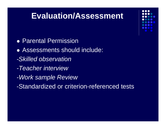## **Evaluation/Assessment**

- **Parental Permission**
- Assessments should include:
- *-Skilled observation*
- *-Teacher interview*
- *-Work sample Review*
- -Standardized or criterion-referenced tests

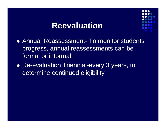#### **Reevaluation**



- Annual Reassessment- To monitor students progress, annual reassessments can be formal or informal.
- <u>Re-evaluation Triennial-every</u> 3 years, to determine continued eligibility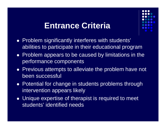#### **Entrance Criteria**



- Problem significantly interferes with students' abilities to participate in their educational program
- Problem appears to be caused by limitations in the performance components
- Previous attempts to alleviate the problem have not been successful
- Potential for change in students problems through intervention appears likely
- Unique expertise of therapist is required to meet students' identified needs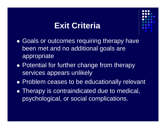#### **Exit Criteria**



- $\bullet$ • Goals or outcomes requiring therapy have been met and no additional goals are appropriate
- Potential for further change from therapy services appears unlikely
- Problem ceases to be educationally relevant
- Therapy is contraindicated due to medical, psychological, or social complications.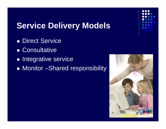

# **Service Delivery Models**

- Direct Service
- Consultative
- $\bullet$ Integrative service
- Monitor –Shared responsibility

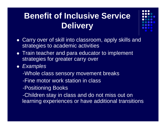# **Benefit of Inclusive Service Delivery**



- Carry over of skill into classroom, apply skills and strategies to academic activities
- Train teacher and para educator to implement strategies for greater carry over
- *Examples*
	- -Whole class sensory movement breaks
	- -Fine motor work station in class
	- -Positioning Books
	- -Children stay in class and do not miss out on learning experiences or have additional transitions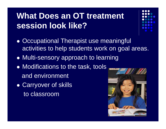# **What Does an OT treatment session look like?**

- 
- $\bullet$ • Occupational Therapist use meaningful activities to help students work on goal areas.
- Multi-sensory approach to learning
- Modifications to the task, tools and environment
- Carryover of skills to classroom

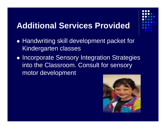## **Additional Services Provided**

- 
- Handwriting skill development packet for Kindergarten classes
- $\bullet$ **• Incorporate Sensory Integration Strategies** into the Classroom. Consult for sensory motor development

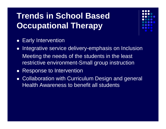# **Trends in School Based Occupational Therapy**



- $\bullet$ Early Intervention
- $\bullet$  Integrative service delivery-emphasis on Inclusion Meeting the needs of the students in the least restrictive environment-Small group instruction
- $\bullet$ Response to Intervention
- $\bullet$  Collaboration with Curriculum Design and general Health Awareness to benefit all students